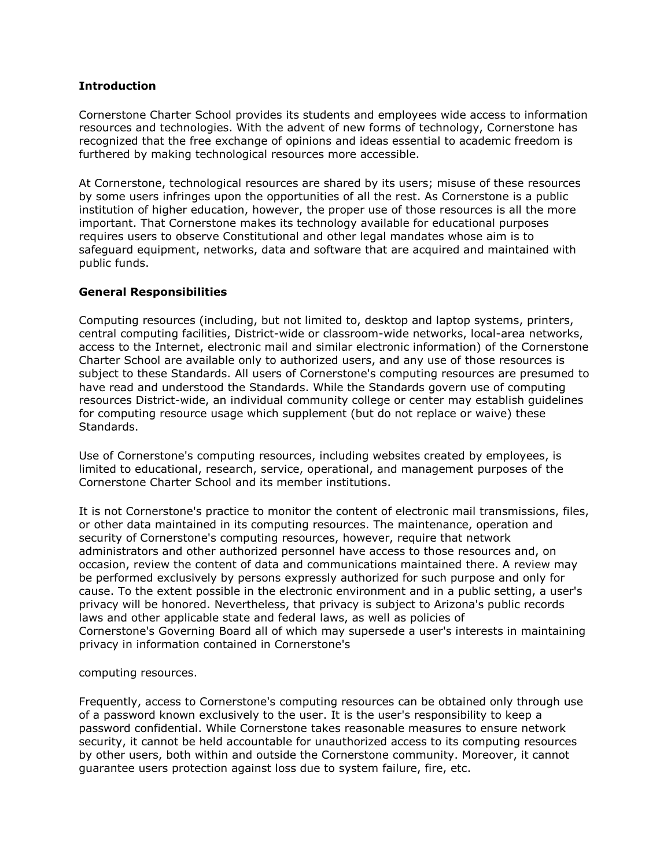## **Introduction**

Cornerstone Charter School provides its students and employees wide access to information resources and technologies. With the advent of new forms of technology, Cornerstone has recognized that the free exchange of opinions and ideas essential to academic freedom is furthered by making technological resources more accessible.

At Cornerstone, technological resources are shared by its users; misuse of these resources by some users infringes upon the opportunities of all the rest. As Cornerstone is a public institution of higher education, however, the proper use of those resources is all the more important. That Cornerstone makes its technology available for educational purposes requires users to observe Constitutional and other legal mandates whose aim is to safeguard equipment, networks, data and software that are acquired and maintained with public funds.

### **General Responsibilities**

Computing resources (including, but not limited to, desktop and laptop systems, printers, central computing facilities, District-wide or classroom-wide networks, local-area networks, access to the Internet, electronic mail and similar electronic information) of the Cornerstone Charter School are available only to authorized users, and any use of those resources is subject to these Standards. All users of Cornerstone's computing resources are presumed to have read and understood the Standards. While the Standards govern use of computing resources District-wide, an individual community college or center may establish guidelines for computing resource usage which supplement (but do not replace or waive) these Standards.

Use of Cornerstone's computing resources, including websites created by employees, is limited to educational, research, service, operational, and management purposes of the Cornerstone Charter School and its member institutions.

It is not Cornerstone's practice to monitor the content of electronic mail transmissions, files, or other data maintained in its computing resources. The maintenance, operation and security of Cornerstone's computing resources, however, require that network administrators and other authorized personnel have access to those resources and, on occasion, review the content of data and communications maintained there. A review may be performed exclusively by persons expressly authorized for such purpose and only for cause. To the extent possible in the electronic environment and in a public setting, a user's privacy will be honored. Nevertheless, that privacy is subject to Arizona's public records laws and other applicable state and federal laws, as well as policies of Cornerstone's Governing Board all of which may supersede a user's interests in maintaining privacy in information contained in Cornerstone's

#### computing resources.

Frequently, access to Cornerstone's computing resources can be obtained only through use of a password known exclusively to the user. It is the user's responsibility to keep a password confidential. While Cornerstone takes reasonable measures to ensure network security, it cannot be held accountable for unauthorized access to its computing resources by other users, both within and outside the Cornerstone community. Moreover, it cannot guarantee users protection against loss due to system failure, fire, etc.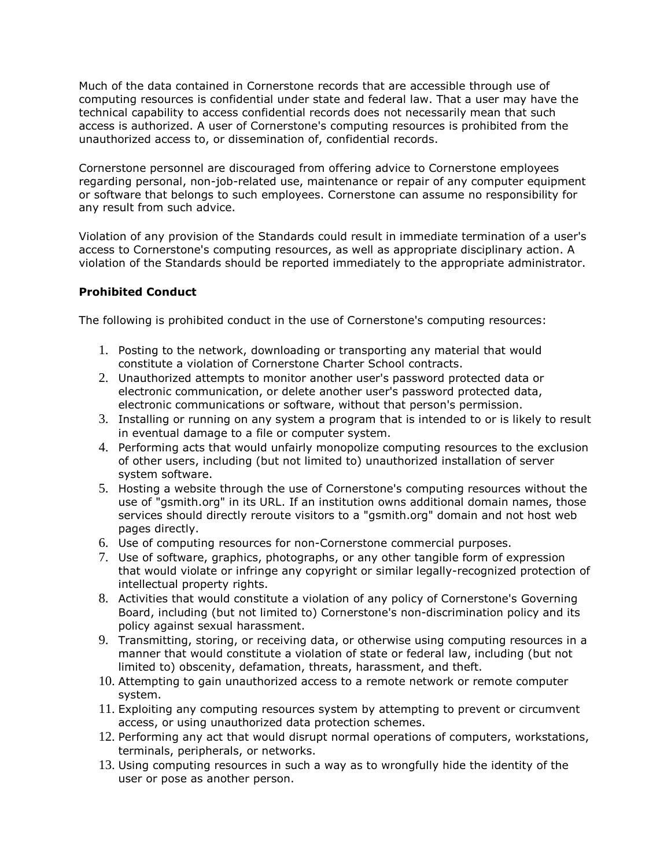Much of the data contained in Cornerstone records that are accessible through use of computing resources is confidential under state and federal law. That a user may have the technical capability to access confidential records does not necessarily mean that such access is authorized. A user of Cornerstone's computing resources is prohibited from the unauthorized access to, or dissemination of, confidential records.

Cornerstone personnel are discouraged from offering advice to Cornerstone employees regarding personal, non-job-related use, maintenance or repair of any computer equipment or software that belongs to such employees. Cornerstone can assume no responsibility for any result from such advice.

Violation of any provision of the Standards could result in immediate termination of a user's access to Cornerstone's computing resources, as well as appropriate disciplinary action. A violation of the Standards should be reported immediately to the appropriate administrator.

# **Prohibited Conduct**

The following is prohibited conduct in the use of Cornerstone's computing resources:

- 1. Posting to the network, downloading or transporting any material that would constitute a violation of Cornerstone Charter School contracts.
- 2. Unauthorized attempts to monitor another user's password protected data or electronic communication, or delete another user's password protected data, electronic communications or software, without that person's permission.
- 3. Installing or running on any system a program that is intended to or is likely to result in eventual damage to a file or computer system.
- 4. Performing acts that would unfairly monopolize computing resources to the exclusion of other users, including (but not limited to) unauthorized installation of server system software.
- 5. Hosting a website through the use of Cornerstone's computing resources without the use of "gsmith.org" in its URL. If an institution owns additional domain names, those services should directly reroute visitors to a "gsmith.org" domain and not host web pages directly.
- 6. Use of computing resources for non-Cornerstone commercial purposes.
- 7. Use of software, graphics, photographs, or any other tangible form of expression that would violate or infringe any copyright or similar legally-recognized protection of intellectual property rights.
- 8. Activities that would constitute a violation of any policy of Cornerstone's Governing Board, including (but not limited to) Cornerstone's non-discrimination policy and its policy against sexual harassment.
- 9. Transmitting, storing, or receiving data, or otherwise using computing resources in a manner that would constitute a violation of state or federal law, including (but not limited to) obscenity, defamation, threats, harassment, and theft.
- 10. Attempting to gain unauthorized access to a remote network or remote computer system.
- 11. Exploiting any computing resources system by attempting to prevent or circumvent access, or using unauthorized data protection schemes.
- 12. Performing any act that would disrupt normal operations of computers, workstations, terminals, peripherals, or networks.
- 13. Using computing resources in such a way as to wrongfully hide the identity of the user or pose as another person.